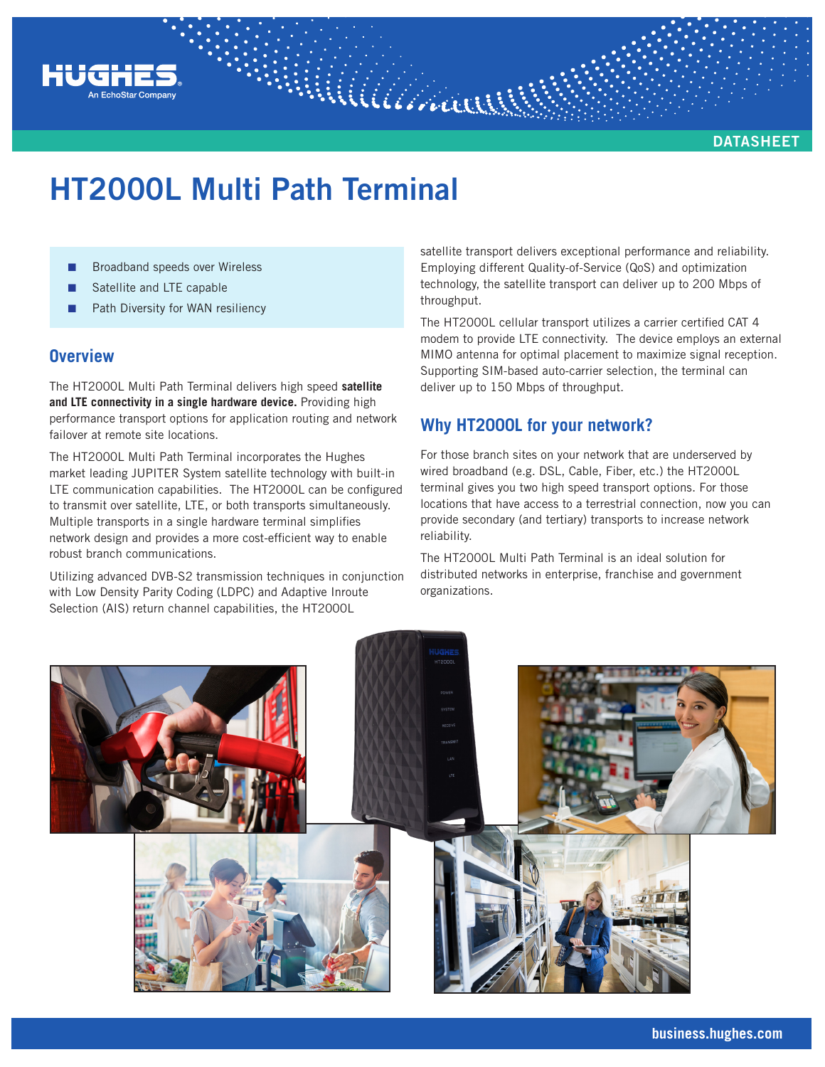

# **HT2000L Multi Path Terminal**

Williaman

- Broadband speeds over Wireless
- Satellite and LTE capable
- Path Diversity for WAN resiliency

### **Overview**

The HT2000L Multi Path Terminal delivers high speed **satellite and LTE connectivity in a single hardware device.** Providing high performance transport options for application routing and network failover at remote site locations.

The HT2000L Multi Path Terminal incorporates the Hughes market leading JUPITER System satellite technology with built-in LTE communication capabilities. The HT2000L can be configured to transmit over satellite, LTE, or both transports simultaneously. Multiple transports in a single hardware terminal simplifies network design and provides a more cost-efficient way to enable robust branch communications.

Utilizing advanced DVB-S2 transmission techniques in conjunction with Low Density Parity Coding (LDPC) and Adaptive Inroute Selection (AIS) return channel capabilities, the HT2000L

satellite transport delivers exceptional performance and reliability. Employing different Quality-of-Service (QoS) and optimization technology, the satellite transport can deliver up to 200 Mbps of throughput.

The HT2000L cellular transport utilizes a carrier certified CAT 4 modem to provide LTE connectivity. The device employs an external MIMO antenna for optimal placement to maximize signal reception. Supporting SIM-based auto-carrier selection, the terminal can deliver up to 150 Mbps of throughput.

## **Why HT2000L for your network?**

For those branch sites on your network that are underserved by wired broadband (e.g. DSL, Cable, Fiber, etc.) the HT2000L terminal gives you two high speed transport options. For those locations that have access to a terrestrial connection, now you can provide secondary (and tertiary) transports to increase network reliability.

The HT2000L Multi Path Terminal is an ideal solution for distributed networks in enterprise, franchise and government organizations.